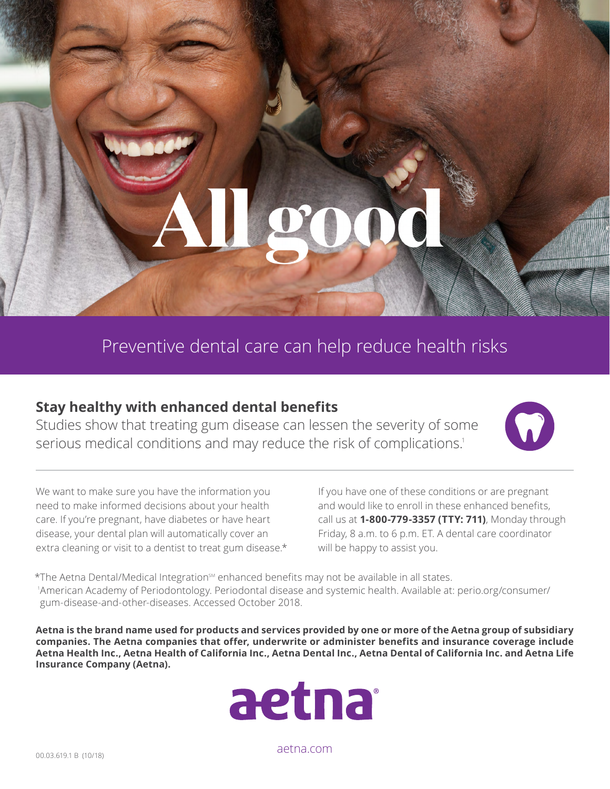Preventive dental care can help reduce health risks

## **Stay healthy with enhanced dental benefits**

Studies show that treating gum disease can lessen the severity of some serious medical conditions and may reduce the risk of complications.<sup>1</sup>



We want to make sure you have the information you need to make informed decisions about your health care. If you're pregnant, have diabetes or have heart disease, your dental plan will automatically cover an extra cleaning or visit to a dentist to treat gum disease.\* If you have one of these conditions or are pregnant and would like to enroll in these enhanced benefits, call us at **1-800-779-3357 (TTY: 711)**, Monday through Friday, 8 a.m. to 6 p.m. ET. A dental care coordinator will be happy to assist you.

\*The Aetna Dental/Medical Integration<sup>sM</sup> enhanced benefits may not be available in all states. 1 American Academy of Periodontology. Periodontal disease and systemic health. Available at: [perio.org/consumer/](www.perio.org/consumer/gum-disease-and-other-diseases) [gum-disease-and-other-diseases.](www.perio.org/consumer/gum-disease-and-other-diseases) Accessed October 2018.

**Aetna is the brand name used for products and services provided by one or more of the Aetna group of subsidiary companies. The Aetna companies that offer, underwrite or administer benefits and insurance coverage include Aetna Health Inc., Aetna Health of California Inc., Aetna Dental Inc., Aetna Dental of California Inc. and Aetna Life Insurance Company (Aetna).**



[aetna.com](http://www.aetna.com/)